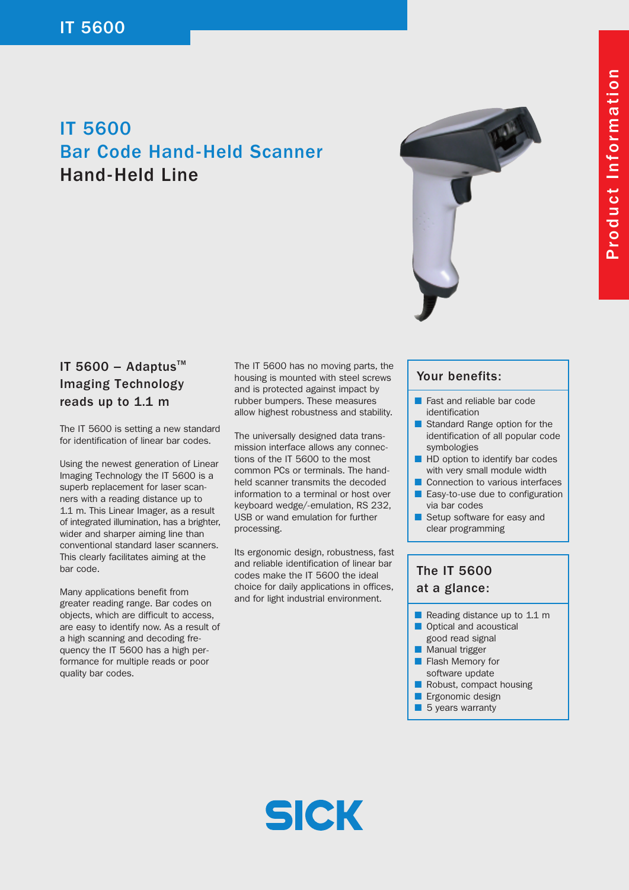# IT 5600 Bar Code Hand-Held Scanner Hand-Held Line



### IT 5600 - Adaptus $TM$ Imaging Technology reads up to 1.1 m

The IT 5600 is setting a new standard for identification of linear bar codes.

Using the newest generation of Linear Imaging Technology the IT 5600 is a superb replacement for laser scanners with a reading distance up to 1.1 m. This Linear Imager, as a result of integrated illumination, has a brighter, wider and sharper aiming line than conventional standard laser scanners. This clearly facilitates aiming at the bar code.

Many applications benefit from greater reading range. Bar codes on objects, which are difficult to access, are easy to identify now. As a result of a high scanning and decoding frequency the IT 5600 has a high performance for multiple reads or poor quality bar codes.

The IT 5600 has no moving parts, the housing is mounted with steel screws and is protected against impact by rubber bumpers. These measures allow highest robustness and stability.

The universally designed data transmission interface allows any connections of the IT 5600 to the most common PCs or terminals. The handheld scanner transmits the decoded information to a terminal or host over keyboard wedge/-emulation, RS 232, USB or wand emulation for further processing.

Its ergonomic design, robustness, fast and reliable identification of linear bar codes make the IT 5600 the ideal choice for daily applications in offices, and for light industrial environment.

#### Your benefits:

- Fast and reliable bar code identification
- Standard Range option for the identification of all popular code symbologies
- HD option to identify bar codes with very small module width
- Connection to various interfaces ■ Easy-to-use due to configuration
- via bar codes
- Setup software for easy and clear programming

## The IT 5600 at a glance:

- Reading distance up to 1.1 m
- Optical and acoustical good read signal
- Manual trigger
- Flash Memory for software update
- Robust, compact housing
- Ergonomic design
- 5 years warranty